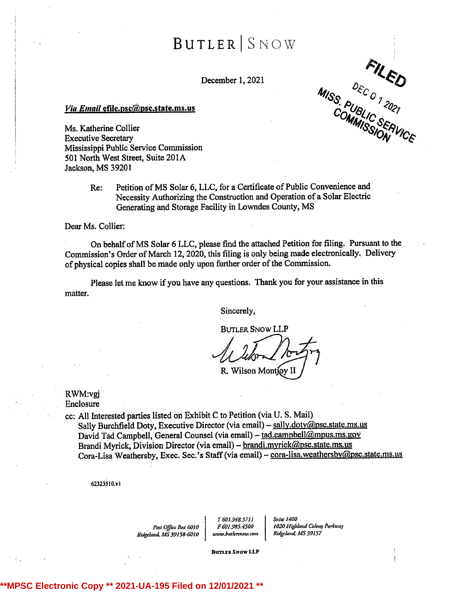$BurIER$   $S$ NOW

December 1, 2021

**FILED**<br>MISS PUBLIC SERVICE

### Via Email efile.psc@psc.state.ms.us

Ms. Katherine Collier Executive Secretary Mississippi Public Service Commission 501 North West Street, Suite 201A Jackson, MS 39201

> Re: Petition of MS Solar 6, LLC, for <sup>a</sup> Certificate of Public Convenience and Necessity Authorizing the Construction and Operation of a Solar Electric Generating and Storage Facility in Lowndes County, MS

Dear Ms. Collier:

On behalf of MS Solar 6 LLC, please find the attached Petition for filing. Pursuant to the Commission's Order of March 12, 2020, this filing is onlybeing made electronically. Delivery of physical copies shall be made only upon further order of the Commission.

Please let me know if you have any questions. Thank you for your assistance in this matter.

Sincerely,

**BUTLER SNOW LLP** 

R. Wilson Montioy II

RWM:vgj

Enclosure

cc: All Interested parties listed on Exhibit <sup>C</sup> to Petition (via U. S. Mail) Sally Burchfield Doty, Executive Director (via email) - sally.doty@psc.state.ms.us David Tad Campbell, General Counsel (via email) - tad.campbell@mpus.ms.gov Brandi Myrick, Division Director (via email) - brandi.myrick@psc.state.ms.us Cora-Lisa Weathersby, Exec. Sec.'s Staff (via email) - cora-lisa.weathersby@psc.state.ms.us

62323510.vt

Ridgeland, MS 39158-6010 www.butlersnow.com

T601.9¥8.5711 Suire 1400

Post Office Box 6010 F601.985.4500 1020 Highland Colony Parkway<br>und MS 39158-6010 www.butlersnow.com Ridgeland, MS 39157

BUTLER SNOW LLP

# **\*\*MPSC Electronic Copy \*\* 2021-UA-195 Filed on 12/01/2021 \*\***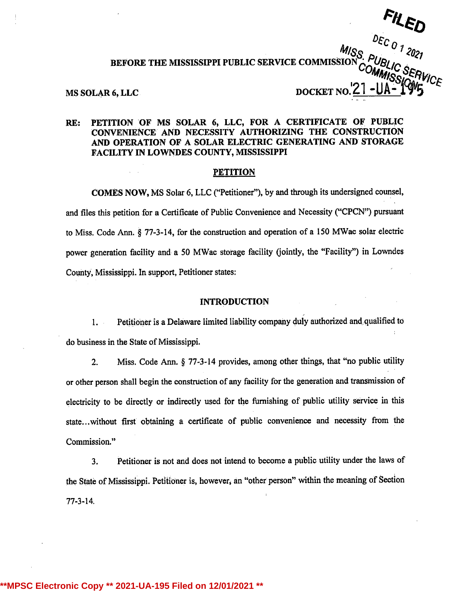# $M/S_S \frac{CECO}{D}$  2021 BEFORE THE MISSISSIPPI PUBLIC SERVICE COMMISSION MS SOLAR 6, LLC. DOCKET NO.

# RE: PETITION OF MS SOLAR 6, LLC, FOR A CERTIFICATE OF PUBLIC CONVENIENCE AND NECESSITY AUTHORIZING THE CONSTRUCTION AND OPERATION OF A SOLAR ELECTRIC GENERATING AND STORAGE FACILITY IN LOWNDES COUNTY, MISSISSIPPI

#### PETITION

COMES NOW, MS Solar 6, LLC ("Petitioner"), by and through its undersigned counsel, and files this petition for <sup>a</sup> Certificate of Public Convenience and Necessity ("CPCN") pursuant to Miss. Code Ann. § 77-3-14, for the construction and operation of <sup>a</sup> <sup>150</sup> MWae solar electric power generation facility and a 50 MWac storage facility (jointly, the "Facility") in Lowndes Countý, Mississippi. In support, Petitioner states:

### INTRODUCTION

1. Pethioneris <sup>a</sup> Delaware limited liability company dulyauthorized and qualified to do business in the State of Mississippi.

2. Miss. Code Ann. § 77-3-14 provides, among other things, that "no public utility or other person shall begin the construction of any facility for the generation and transmission of electricity to be directly or indirectly used for the furnishing of public utility sërvice in this state...without first obtaining <sup>a</sup> certificate of public convenience and necessity from the Commission."

3. Petitioner is not and does not intend to become <sup>a</sup> public utilityunder the laws of the State of Mississippi. Petitioner is, however, an "other person" within the meaning of Section 77-3-14.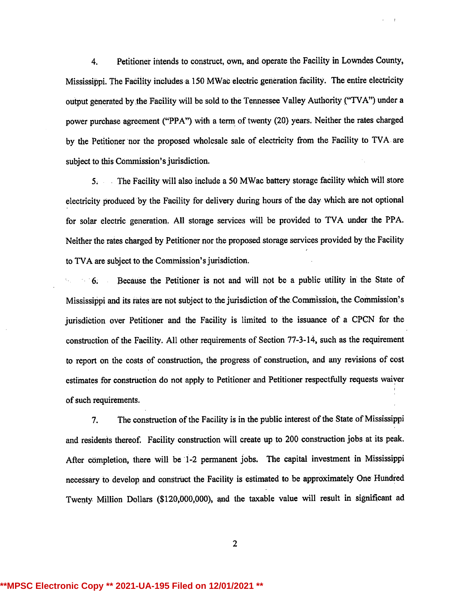4. Petitioner intends to construct, own, and operate the Facility in Lowndes County, Mississippi. The Facility includes a 150 MWac electric generation facility. The entire electricity output generated by the Facility will be sold to the Tennessee Valley Authority ("TVA") under a power purchase agreement ("PPA") with <sup>a</sup> term of twenty (20) years. Neither the rates charged by the Petitioner nor the proposed wholesale sale of electricity from the Facility to TVA are subject to this Commission's jurisdiction.

<sup>5</sup> The Facility will also include <sup>a</sup> 50 MWac battery storage facility whieh will store electricity produced by the Facility for delivery during hours of the day which are not optional for solar electric generation. All storage services will be provided to TVA under the PPA. Neither the rates charged by Petitioner nor the proposed storage services provided by the Facility to TVA are subject to the Cominission's jurisdiction.

6. Because the Petitioner is not and will not be <sup>a</sup> public utility in the State of Mississippi and its rates are not subject to the jurisdiction of the Commission, the Commission's jurisdiction over Petitioner and the Facility is limited to the issuance of <sup>a</sup> CPCN for the construction of the Facility. All other requirements of Section 77-3-14, such as the requirement to report on the costs of construction, the progress of construction, and any revisions of cost estimates for construction do not apply to Petitioner and Petitioner respectfully requests waiver of such requirements.

7. The construction of the Facility is in the public interest of the State of Mississippi and residenis thereof. Facility construction will create up to 200 construction jobs at its peak. After completion, there will be 1-2 permanent jobs. The capital investment in Mississippi necessary to devèlop and constrùct the Facility is estimated to be appróximately One Hundred Twenty Million Dollars (\$120,000,000), and the taxable value will result in significant ad

2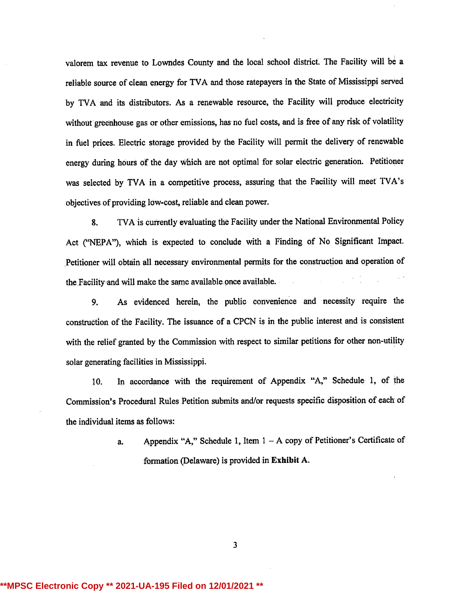valorem tax revenue to Lowndes County and the local school district. The Facility will be <sup>a</sup> reliable source of clean energy for TVA and those ratepayers in the State of Mississippi served by TVA and its distributors. As <sup>a</sup> renewable resource, the Facility will produce electricity without greenhouse gas or other emissions, has no fuel costs, and is free of any risk of volatility in fuel prices. Electric storage provided by the Facility will permit the delivery of renewable energy during hours of the day which are not optimal for solar electric generation. Petitioner was selected by TVA in <sup>a</sup> competitive process, assuring that the Facility will meet TVA's objectives of providing low-cost, reliable and clean power.

8. TVA is currently evaluating the Facility under the National Environmental Policy Act ("NEPA"), which is expected to conclude with <sup>a</sup> Finding of No Significant Impact. Petitioner will obtain all necessary environmental permits for the construction and operation of the Facility and will make the same available once available.

9. As evidenced herein, the public convenience and necessity require the construction of the Facility. The issuance of <sup>a</sup> CPCN is in the public interest and is consistent with the relief granted by the Commission with respect to similar petitions for other non-utility solar generating facilities in Mississippi.

10. In accordance with the requirement of Appendix "A," Schedule 1, of the Commission's Procedural Rules Petition submits and/or requests specific disposition of each of the individual items as follows:

> a. Appendix "A," Schedule 1, Item <sup>1</sup> - A copy of Petitioner's Certificate of formation (Delaware) is provided in Exhibit A.

> > 3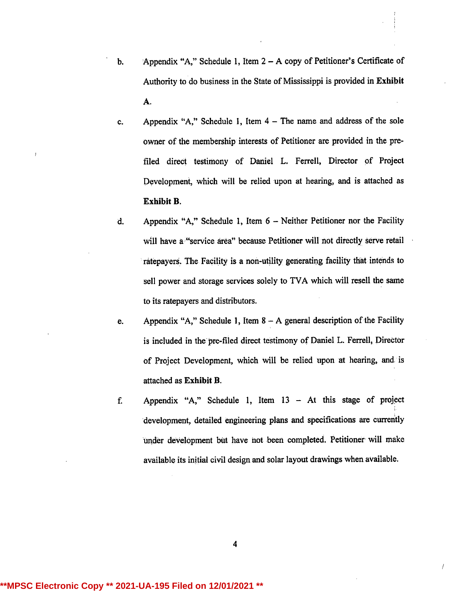- b. Appendix "A," Schedule 1, Item <sup>2</sup> A copy of Petitioner's Certificate of Authority to do business in the State of Mississippi is provided in Exhibit A.
- c. Appendix "A," Schedule 1, Item 4 The name and address of the sole owner of the membership interests of Petitioner are provided in the prefiled direct testimony of Daniel L. Ferrell, Director of Project Development, which will be relied upon at hearing, and is attached as Exhibit B.
- d. Appendix "A," Schedule 1, Item <sup>6</sup> Neither Petitioner nor the Facility will have a "service area" because Petitioner will not directly serve retail ratepayers. The Facility is a non-utility generating facility that intends to sell power and storage services solely to TVA which will resell the same to its ratepayers and distributors.
- e. Appendix "A," Schedule 1, Item 8 A general description of the Facility is included in the pre-filed direct testimony of Daniel L. Ferrell, Director of Project Development, which will be relied upon at hearing, and is attached as Exhibit B.
- f. Appendix "A," Schedule 1, Item <sup>13</sup> At this stage of project development, detailed engineering plans and specifications are currently under development bùt have not been completed. Petitioner will make available its initial civil design and solar layout drawings when available.

4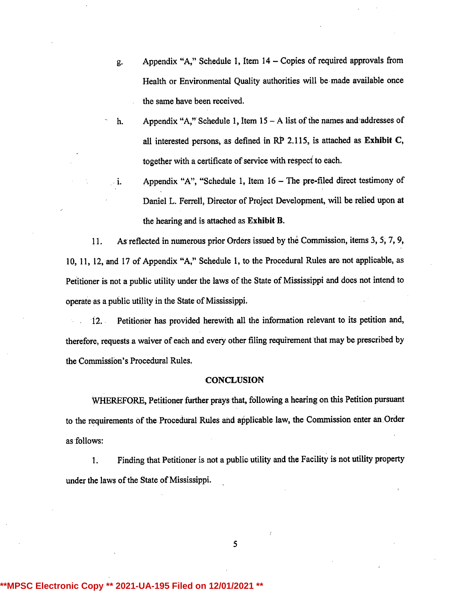- g. Appendix "A," Schedule 1, Item 14 Copies of required approvals from Health or Environmental Quality authorities will be made available once the same have been received.
- h. Appendix "A," Schedule 1, Item  $15 A$  list of the names and addresses of all interested persons, as defined in  $RP$  2.115, is attached as Exhibit C, together with a certificate of service with respect to each.
- i. Appendix "A", "Schedule 1, Item <sup>16</sup> The pre-filed direct testimony of Daniel L. Ferrell, Director of Project Development, will be relied upon at the hearing and is attached as Exhibit B.

11. As reflected in numerous prior Orders issued by the Commission, items 3, 5, 7, 9, 10, 11, 12, and <sup>17</sup> of Appendix "A," Schedule 1, to the Procedural Rules are not applicable, as Petitioner is not a public utility under the laws of the State of Mississippi and does not intend to operate as a public utility in the State of Mississippi.

12. Petitioner has provided herewith all the information relevant to its petition and, therefore, requests a waiver of each and every other filing requirement that may be prescribed by the Commission's Procedural Rules.

#### **CONCLUSION**

WHEREFORE, Petitioner further prays that, following a hearing on this Petition pursuant to the requirements of the Procedural Rules and aýplicable law, the Commission enter an.Order as follows:

1. Finding that Petitioner is not a public utility and the Facility is not utility property under the laws of the State of Mississippi.

5

# **Electronic Copy \*\* 2021-UA-195 Filed on 12/01/20**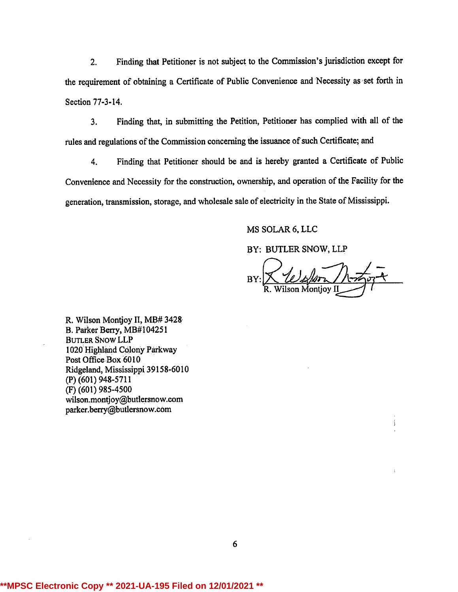2. Finding that Petitioner is not subject to the Commission's jurisdiction except for the requirement of obtaining a Certificate of Public Convenience and Necessity as set forth in Section 77-3-14.

3. Finding that, in submitting the Petition, Petitioner has complied with all of the rules and regulations of the Commission concerning the issuance of such Certificate; and

4. Finding that Petitioner should be and is hereby granted <sup>a</sup> Certificate of Public Convenience and Necessity for the construction, ownership, and operation of the Facility for the generation, transmission, storage, and wholesale sale of electricity in the State of Mississippi.

MS SOLAR 6, LLC

BY: BUTLER SNOW, LLP

**BY** ilson Montiov II

 $\mathbf{1}$ 

R. Wilson Montjoy II, MB# 3428 B. Parker Berry, MB#104251 BUTLER SNow LLP 1020 Highland Colony Parkway Post Office Box 6010 Ridgeland, Mississippi 39158-6010 (P) (601) 948-5711 (F) (601) 985-4500 wilson,montjoy@butlersnow.com parker.berty@butlersnow.com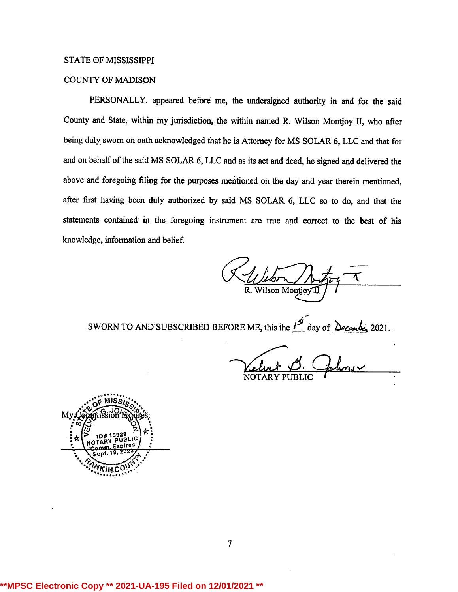### STATE OF MISSISSIPPI

# COUNTY OF MADISON

PERSONALLY. appeared before me, the undersigned authority in and for the said County and State, within my jurisdiction, the within named R. Wilson Montjoy II, who after being duly sworn on oath acknowledged that he is Attorney for MS SOLAR 6, LLC and that for and on behalf of the said MS SOLAR 6, LLC and as its act and deed, he signed and delivered the above and foregoing filing for the purposes mentioned on the day and year therein mentioned, after first having been duly authorized by said MS SOLAR 6, LLC so to do, and that the statements contained in the foregoing instrument are true and correct to the best of his knowledge, information and belief.

Wilson Montiev

SWORN TO AND SUBSCRIBED BEFORE ME, this the  $\frac{1}{3}$  day of  $\frac{\partial e_{\text{c}}}{\partial x_{\text{c}}}$  2021.

NOTARY PUBLIC